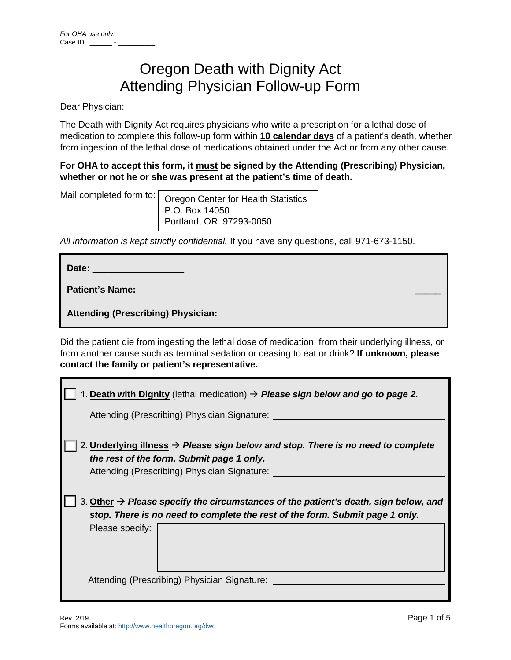# Oregon Death with Dignity Act Attending Physician Follow-up Form

Dear Physician:

The Death with Dignity Act requires physicians who write a prescription for a lethal dose of medication to complete this follow-up form within **10 calendar days** of a patient's death, whether from ingestion of the lethal dose of medications obtained under the Act or from any other cause.

## **For OHA to accept this form, it must be signed by the Attending (Prescribing) Physician, whether or not he or she was present at the patient's time of death.**

Mail completed form to:

Oregon Center for Health Statistics P.O. Box 14050 Portland, OR 97293-0050

*All information is kept strictly confidential.* If you have any questions, call 971-673-1150.

| Date: <b>Date:</b>                        |
|-------------------------------------------|
| <b>Patient's Name: Example 2014</b>       |
| <b>Attending (Prescribing) Physician:</b> |

Did the patient die from ingesting the lethal dose of medication, from their underlying illness, or from another cause such as terminal sedation or ceasing to eat or drink? **If unknown, please contact the family or patient's representative.**

| 1. Death with Dignity (lethal medication) $\rightarrow$ Please sign below and go to page 2.                                                                                                        |
|----------------------------------------------------------------------------------------------------------------------------------------------------------------------------------------------------|
| Attending (Prescribing) Physician Signature:                                                                                                                                                       |
| 2. Underlying illness $\rightarrow$ Please sign below and stop. There is no need to complete<br>the rest of the form. Submit page 1 only.<br>Attending (Prescribing) Physician Signature:          |
| 3. Other $\rightarrow$ Please specify the circumstances of the patient's death, sign below, and<br>stop. There is no need to complete the rest of the form. Submit page 1 only.<br>Please specify: |
| Attending (Prescribing) Physician Signature:                                                                                                                                                       |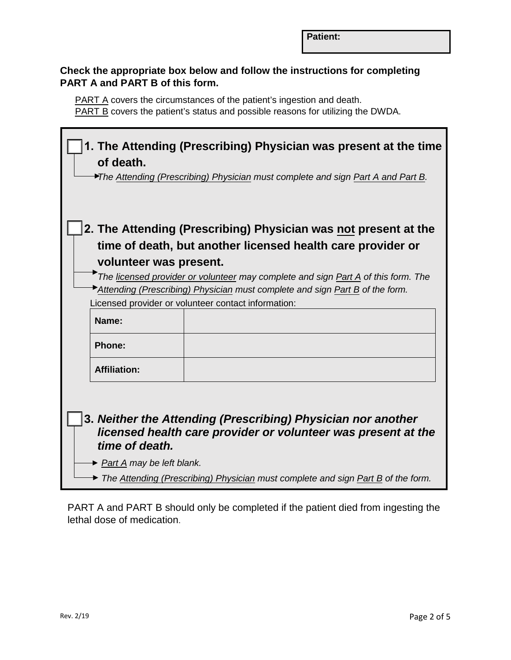# **Check the appropriate box below and follow the instructions for completing PART A and PART B of this form.**

PART A covers the circumstances of the patient's ingestion and death. PART B covers the patient's status and possible reasons for utilizing the DWDA.

| of death.                                     | 1. The Attending (Prescribing) Physician was present at the time<br>The Attending (Prescribing) Physician must complete and sign Part A and Part B.                                                               |
|-----------------------------------------------|-------------------------------------------------------------------------------------------------------------------------------------------------------------------------------------------------------------------|
|                                               | 2. The Attending (Prescribing) Physician was not present at the                                                                                                                                                   |
|                                               | time of death, but another licensed health care provider or                                                                                                                                                       |
| volunteer was present.                        |                                                                                                                                                                                                                   |
|                                               | The licensed provider or volunteer may complete and sign <b>Part A</b> of this form. The                                                                                                                          |
|                                               | Attending (Prescribing) Physician must complete and sign Part B of the form.                                                                                                                                      |
|                                               | Licensed provider or volunteer contact information:                                                                                                                                                               |
| Name:                                         |                                                                                                                                                                                                                   |
| <b>Phone:</b>                                 |                                                                                                                                                                                                                   |
| <b>Affiliation:</b>                           |                                                                                                                                                                                                                   |
| time of death.<br>► Part A may be left blank. | 3. Neither the Attending (Prescribing) Physician nor another<br>licensed health care provider or volunteer was present at the<br>The Attending (Prescribing) Physician must complete and sign Part B of the form. |

PART A and PART B should only be completed if the patient died from ingesting the lethal dose of medication.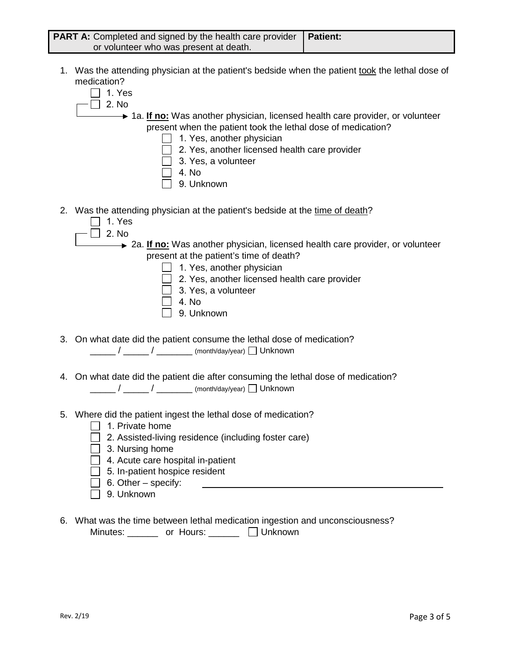| <b>PART A:</b> Completed and signed by the health care provider   Patient: |  |
|----------------------------------------------------------------------------|--|
| or volunteer who was present at death.                                     |  |

- 1. Was the attending physician at the patient's bedside when the patient took the lethal dose of medication?
	- $\Box$  1. Yes
		- $\Box$  2. No

**→ 1a. If no:** Was another physician, licensed health care provider, or volunteer present when the patient took the lethal dose of medication?

- 1. Yes, another physician
- 2. Yes, another licensed health care provider
- 3. Yes, a volunteer
- 4. No
- 9. Unknown
- 2. Was the attending physician at the patient's bedside at the time of death?
	- $\Box$  1. Yes
	- $\Box$  2. No

**2a. If no:** Was another physician, licensed health care provider, or volunteer present at the patient's time of death?

- 1. Yes, another physician
- 2. Yes, another licensed health care provider
- $\Box$  3. Yes, a volunteer
- $\Box$  4. No
- 9. Unknown
- 3. On what date did the patient consume the lethal dose of medication? \_\_\_\_\_ / \_\_\_\_\_ / \_\_\_\_\_\_\_ (month/day/year) Unknown
- 4. On what date did the patient die after consuming the lethal dose of medication? \_\_\_\_\_ / \_\_\_\_\_ / \_\_\_\_\_\_\_ (month/day/year) Unknown
- 5. Where did the patient ingest the lethal dose of medication?
	- $\Box$  1. Private home
	- $\Box$  2. Assisted-living residence (including foster care)
	- $\Box$  3. Nursing home
	- $\Box$  4. Acute care hospital in-patient
	- $\Box$  5. In-patient hospice resident
	- $\Box$  6. Other specify:
	- 9. Unknown
- 6. What was the time between lethal medication ingestion and unconsciousness? Minutes: \_\_\_\_\_\_ or Hours: \_\_\_\_\_\_ Unknown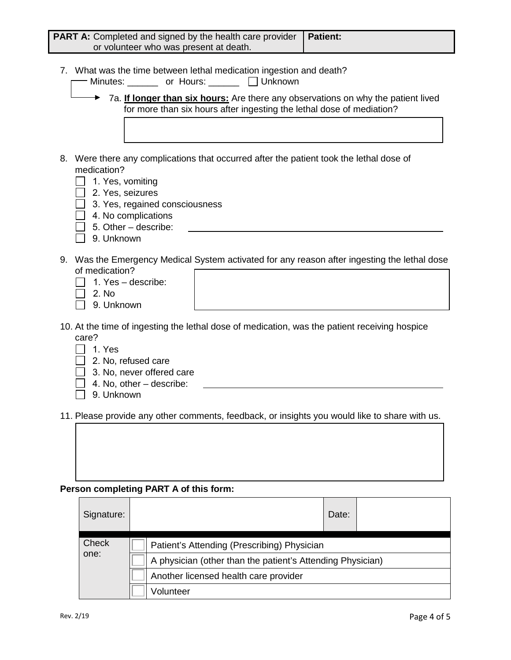| <b>PART A:</b> Completed and signed by the health care provider<br>or volunteer who was present at death.                                                                                                                                                                                       | <b>Patient:</b> |
|-------------------------------------------------------------------------------------------------------------------------------------------------------------------------------------------------------------------------------------------------------------------------------------------------|-----------------|
| 7. What was the time between lethal medication ingestion and death?<br>Minutes: _______ or Hours: _______ [ Unknown<br>$\rightarrow$ 7a. If longer than six hours: Are there any observations on why the patient lived<br>for more than six hours after ingesting the lethal dose of mediation? |                 |
| Were there any complications that occurred after the patient took the lethal dose of<br>8.<br>medication?                                                                                                                                                                                       |                 |

- $\Box$  1. Yes, vomiting
- 2. Yes, seizures
- $\Box$  3. Yes, regained consciousness
- $\Box$  4. No complications
- $\Box$  5. Other describe:
- □ 9. Unknown
- 9. Was the Emergency Medical System activated for any reason after ingesting the lethal dose of medication?
	- $\Box$  1. Yes describe:
	- $\Box$  2. No
	- 9. Unknown
- 10. At the time of ingesting the lethal dose of medication, was the patient receiving hospice care?
	- $\Box$  1. Yes
	- $\Box$  2. No, refused care
	- $\Box$  3. No, never offered care
	- $\Box$  4. No, other describe:
	- $\Box$  9. Unknown

11. Please provide any other comments, feedback, or insights you would like to share with us.

#### **Person completing PART A of this form:**

| Signature:           | Date:                                                                                                     |  |
|----------------------|-----------------------------------------------------------------------------------------------------------|--|
| <b>Check</b><br>one: | Patient's Attending (Prescribing) Physician<br>A physician (other than the patient's Attending Physician) |  |
|                      | Another licensed health care provider                                                                     |  |
|                      | Volunteer                                                                                                 |  |